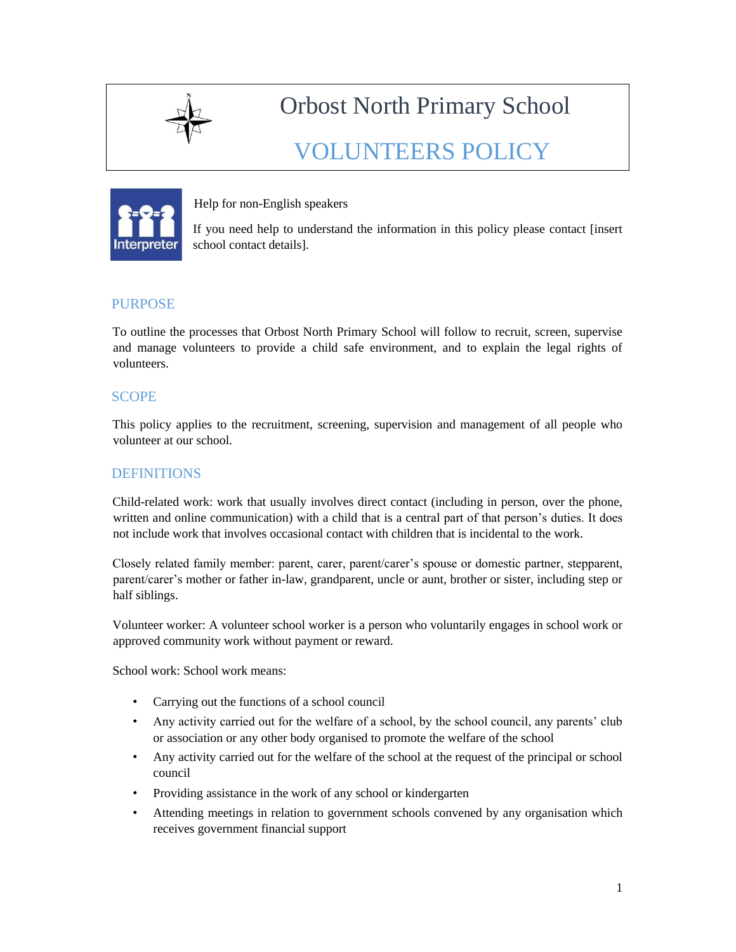

Orbost North Primary School

VOLUNTEERS POLICY



Help for non-English speakers

If you need help to understand the information in this policy please contact [insert school contact details].

## PURPOSE

To outline the processes that Orbost North Primary School will follow to recruit, screen, supervise and manage volunteers to provide a child safe environment, and to explain the legal rights of volunteers.

## **SCOPE**

This policy applies to the recruitment, screening, supervision and management of all people who volunteer at our school.

## **DEFINITIONS**

Child-related work: work that usually involves direct contact (including in person, over the phone, written and online communication) with a child that is a central part of that person's duties. It does not include work that involves occasional contact with children that is incidental to the work.

Closely related family member: parent, carer, parent/carer's spouse or domestic partner, stepparent, parent/carer's mother or father in-law, grandparent, uncle or aunt, brother or sister, including step or half siblings.

Volunteer worker: A volunteer school worker is a person who voluntarily engages in school work or approved community work without payment or reward.

School work: School work means:

- Carrying out the functions of a school council
- Any activity carried out for the welfare of a school, by the school council, any parents' club or association or any other body organised to promote the welfare of the school
- Any activity carried out for the welfare of the school at the request of the principal or school council
- Providing assistance in the work of any school or kindergarten
- Attending meetings in relation to government schools convened by any organisation which receives government financial support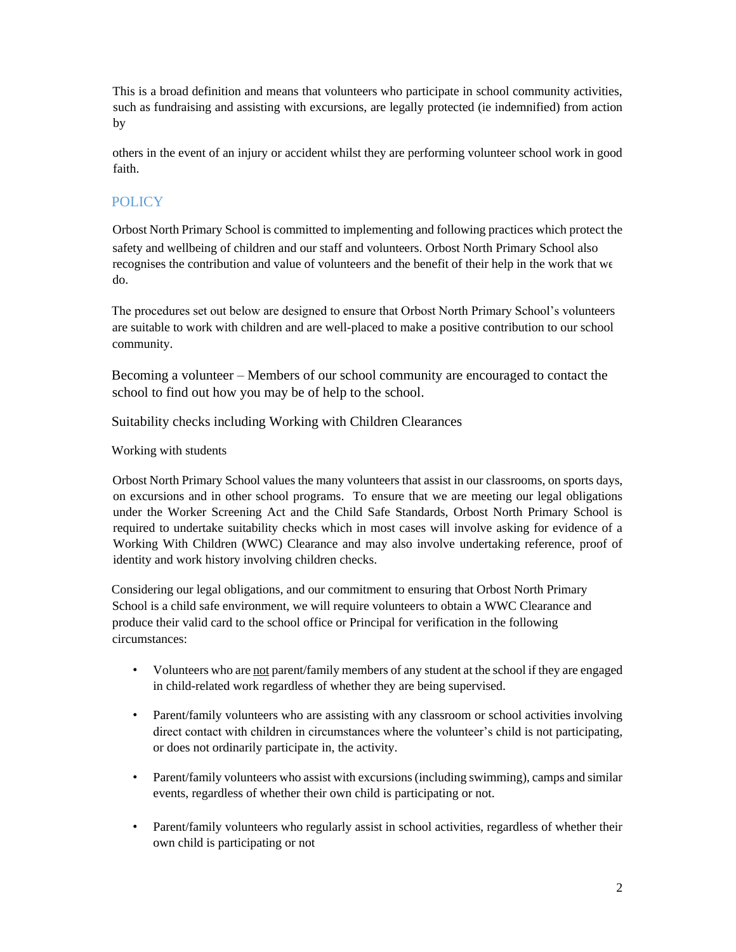This is a broad definition and means that volunteers who participate in school community activities, such as fundraising and assisting with excursions, are legally protected (ie indemnified) from action by

others in the event of an injury or accident whilst they are performing volunteer school work in good faith.

## POLICY

Orbost North Primary School is committed to implementing and following practices which protect the safety and wellbeing of children and our staff and volunteers. Orbost North Primary School also recognises the contribution and value of volunteers and the benefit of their help in the work that we do.

The procedures set out below are designed to ensure that Orbost North Primary School's volunteers are suitable to work with children and are well-placed to make a positive contribution to our school community.

Becoming a volunteer – Members of our school community are encouraged to contact the school to find out how you may be of help to the school.

Suitability checks including Working with Children Clearances

#### Working with students

Orbost North Primary School values the many volunteers that assist in our classrooms, on sports days, on excursions and in other school programs. To ensure that we are meeting our legal obligations under the Worker Screening Act and the Child Safe Standards, Orbost North Primary School is required to undertake suitability checks which in most cases will involve asking for evidence of a Working With Children (WWC) Clearance and may also involve undertaking reference, proof of identity and work history involving children checks.

Considering our legal obligations, and our commitment to ensuring that Orbost North Primary School is a child safe environment, we will require volunteers to obtain a WWC Clearance and produce their valid card to the school office or Principal for verification in the following circumstances:

- Volunteers who are not parent/family members of any student at the school if they are engaged in child-related work regardless of whether they are being supervised.
- Parent/family volunteers who are assisting with any classroom or school activities involving direct contact with children in circumstances where the volunteer's child is not participating, or does not ordinarily participate in, the activity.
- Parent/family volunteers who assist with excursions (including swimming), camps and similar events, regardless of whether their own child is participating or not.
- Parent/family volunteers who regularly assist in school activities, regardless of whether their own child is participating or not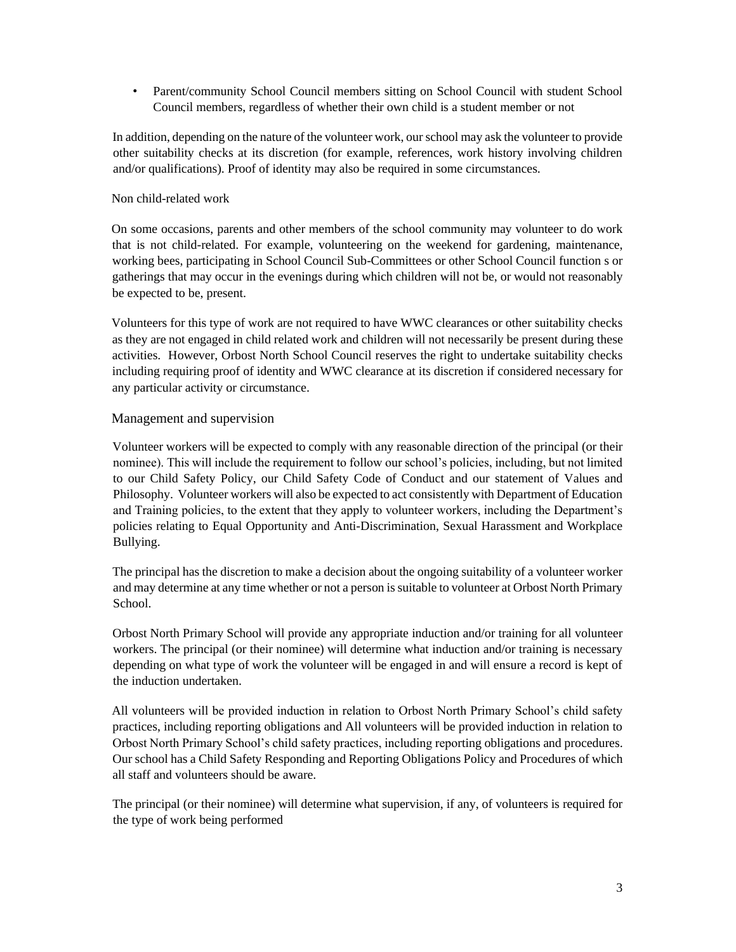• Parent/community School Council members sitting on School Council with student School Council members, regardless of whether their own child is a student member or not

In addition, depending on the nature of the volunteer work, our school may ask the volunteer to provide other suitability checks at its discretion (for example, references, work history involving children and/or qualifications). Proof of identity may also be required in some circumstances.

#### Non child-related work

On some occasions, parents and other members of the school community may volunteer to do work that is not child-related. For example, volunteering on the weekend for gardening, maintenance, working bees, participating in School Council Sub-Committees or other School Council function s or gatherings that may occur in the evenings during which children will not be, or would not reasonably be expected to be, present.

Volunteers for this type of work are not required to have WWC clearances or other suitability checks as they are not engaged in child related work and children will not necessarily be present during these activities. However, Orbost North School Council reserves the right to undertake suitability checks including requiring proof of identity and WWC clearance at its discretion if considered necessary for any particular activity or circumstance.

#### Management and supervision

Volunteer workers will be expected to comply with any reasonable direction of the principal (or their nominee). This will include the requirement to follow our school's policies, including, but not limited to our Child Safety Policy, our Child Safety Code of Conduct and our statement of Values and Philosophy. Volunteer workers will also be expected to act consistently with Department of Education and Training policies, to the extent that they apply to volunteer workers, including the Department's policies relating to Equal Opportunity and Anti-Discrimination, Sexual Harassment and Workplace Bullying.

The principal has the discretion to make a decision about the ongoing suitability of a volunteer worker and may determine at any time whether or not a person is suitable to volunteer at Orbost North Primary School.

Orbost North Primary School will provide any appropriate induction and/or training for all volunteer workers. The principal (or their nominee) will determine what induction and/or training is necessary depending on what type of work the volunteer will be engaged in and will ensure a record is kept of the induction undertaken.

All volunteers will be provided induction in relation to Orbost North Primary School's child safety practices, including reporting obligations and All volunteers will be provided induction in relation to Orbost North Primary School's child safety practices, including reporting obligations and procedures. Our school has a Child Safety Responding and Reporting Obligations Policy and Procedures of which all staff and volunteers should be aware.

The principal (or their nominee) will determine what supervision, if any, of volunteers is required for the type of work being performed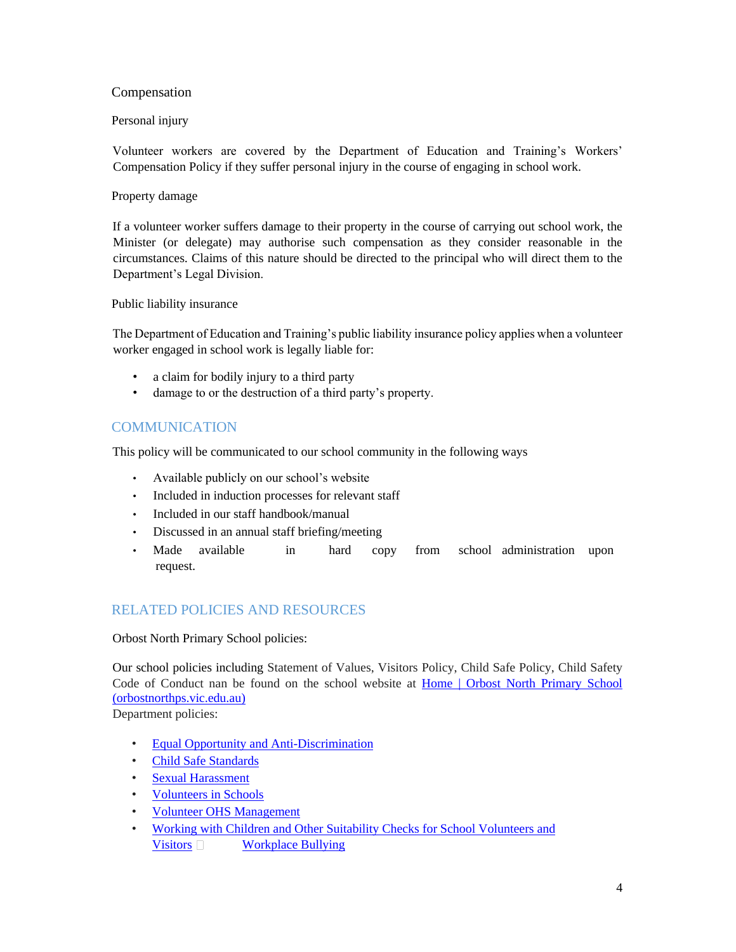## Compensation

#### Personal injury

Volunteer workers are covered by the Department of Education and Training's Workers' Compensation Policy if they suffer personal injury in the course of engaging in school work.

#### Property damage

If a volunteer worker suffers damage to their property in the course of carrying out school work, the Minister (or delegate) may authorise such compensation as they consider reasonable in the circumstances. Claims of this nature should be directed to the principal who will direct them to the Department's Legal Division.

Public liability insurance

The Department of Education and Training's public liability insurance policy applies when a volunteer worker engaged in school work is legally liable for:

- a claim for bodily injury to a third party
- damage to or the destruction of a third party's property.

# **COMMUNICATION**

This policy will be communicated to our school community in the following ways

- Available publicly on our school's website
- Included in induction processes for relevant staff
- Included in our staff handbook/manual
- Discussed in an annual staff briefing/meeting
- Made available in hard copy from school administration upon request.

## RELATED POLICIES AND RESOURCES

Orbost North Primary School policies:

Our school policies including Statement of Values, Visitors Policy, Child Safe Policy, Child Safety Code of Conduct nan be found on the school website at Home | Orbost North Primary School (orbostnorthps.vic.edu.au)

Department policies:

- Equal Opportunity and Anti-Discrimination
- Child Safe Standards
- Sexual Harassment
- Volunteers in Schools
- Volunteer OHS Management
- Working with Children and Other Suitability Checks for School Volunteers and Visitors Norkplace Bullying